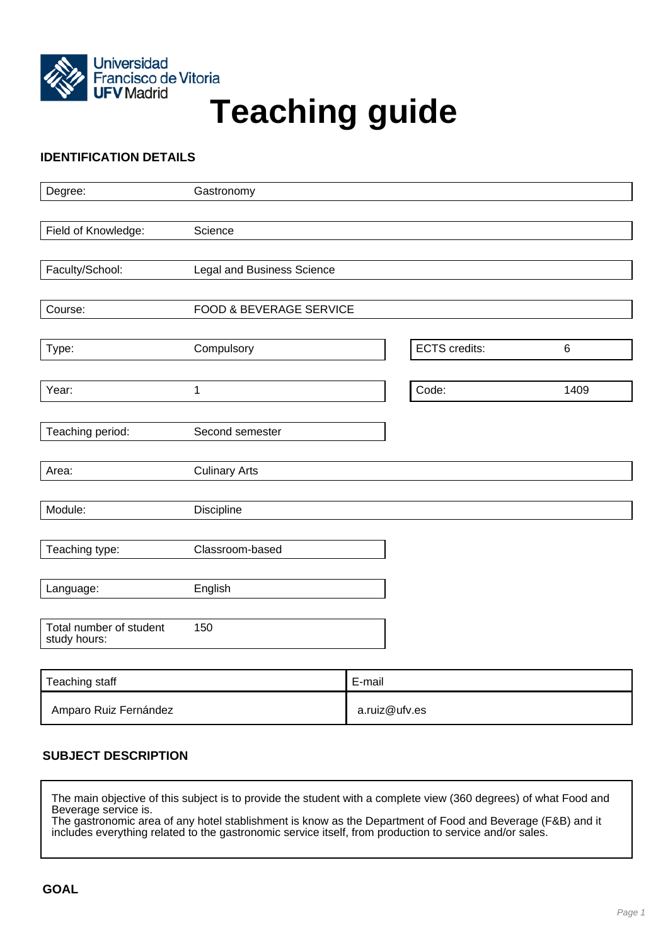

# Francisco de Vitoria<br>UFV Madrid<br>
Teaching guide

# **IDENTIFICATION DETAILS**

| Degree:                                 | Gastronomy                         |                      |       |
|-----------------------------------------|------------------------------------|----------------------|-------|
|                                         |                                    |                      |       |
| Field of Knowledge:                     | Science                            |                      |       |
|                                         |                                    |                      |       |
| Faculty/School:                         | Legal and Business Science         |                      |       |
|                                         |                                    |                      |       |
| Course:                                 | <b>FOOD &amp; BEVERAGE SERVICE</b> |                      |       |
|                                         |                                    |                      |       |
| Type:                                   | Compulsory                         | <b>ECTS</b> credits: | $\,6$ |
|                                         |                                    |                      |       |
| Year:                                   | 1                                  | Code:                | 1409  |
|                                         |                                    |                      |       |
| Teaching period:                        | Second semester                    |                      |       |
| Area:                                   | <b>Culinary Arts</b>               |                      |       |
|                                         |                                    |                      |       |
| Module:                                 | <b>Discipline</b>                  |                      |       |
|                                         |                                    |                      |       |
| Teaching type:                          | Classroom-based                    |                      |       |
|                                         |                                    |                      |       |
| Language:                               | English                            |                      |       |
|                                         |                                    |                      |       |
| Total number of student<br>study hours: | 150                                |                      |       |
|                                         |                                    |                      |       |

| Teaching staff        | E-mail        |
|-----------------------|---------------|
| Amparo Ruiz Fernández | a.ruiz@ufv.es |

# **SUBJECT DESCRIPTION**

The main objective of this subject is to provide the student with a complete view (360 degrees) of what Food and Beverage service is. The gastronomic area of any hotel stablishment is know as the Department of Food and Beverage (F&B) and it includes everything related to the gastronomic service itself, from production to service and/or sales.

**GOAL**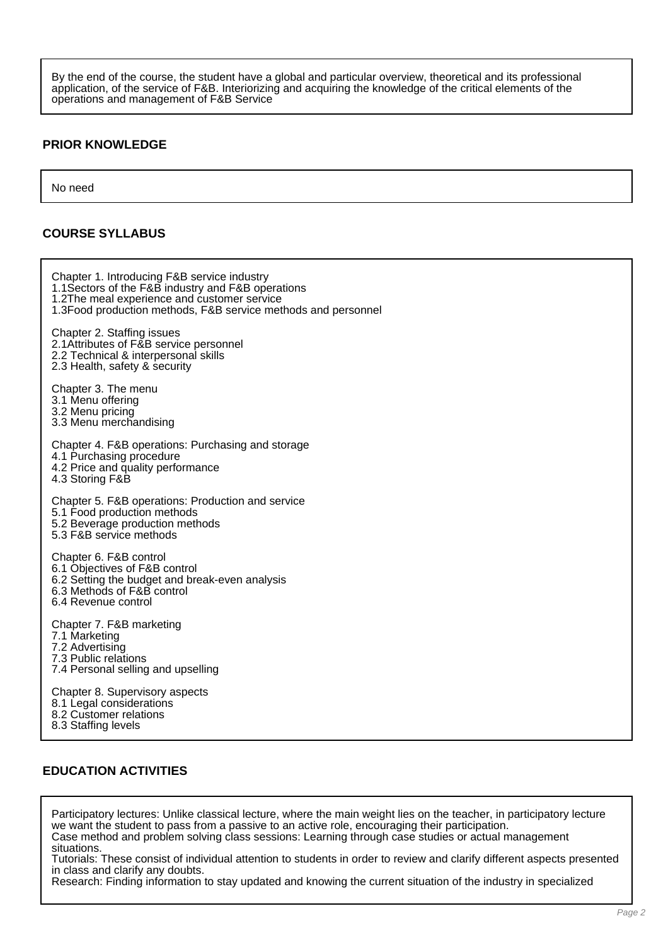By the end of the course, the student have a global and particular overview, theoretical and its professional application, of the service of F&B. Interiorizing and acquiring the knowledge of the critical elements of the operations and management of F&B Service

## **PRIOR KNOWLEDGE**

No need

## **COURSE SYLLABUS**

Chapter 1. Introducing F&B service industry 1.1Sectors of the F&B industry and F&B operations 1.2The meal experience and customer service 1.3Food production methods, F&B service methods and personnel Chapter 2. Staffing issues 2.1Attributes of F&B service personnel 2.2 Technical & interpersonal skills 2.3 Health, safety & security Chapter 3. The menu 3.1 Menu offering 3.2 Menu pricing 3.3 Menu merchandising Chapter 4. F&B operations: Purchasing and storage 4.1 Purchasing procedure 4.2 Price and quality performance 4.3 Storing F&B Chapter 5. F&B operations: Production and service 5.1 Food production methods 5.2 Beverage production methods 5.3 F&B service methods Chapter 6. F&B control 6.1 Objectives of F&B control 6.2 Setting the budget and break-even analysis 6.3 Methods of F&B control 6.4 Revenue control Chapter 7. F&B marketing 7.1 Marketing 7.2 Advertising 7.3 Public relations 7.4 Personal selling and upselling Chapter 8. Supervisory aspects 8.1 Legal considerations 8.2 Customer relations 8.3 Staffing levels

## **EDUCATION ACTIVITIES**

Participatory lectures: Unlike classical lecture, where the main weight lies on the teacher, in participatory lecture we want the student to pass from a passive to an active role, encouraging their participation. Case method and problem solving class sessions: Learning through case studies or actual management situations.

Tutorials: These consist of individual attention to students in order to review and clarify different aspects presented in class and clarify any doubts.

Research: Finding information to stay updated and knowing the current situation of the industry in specialized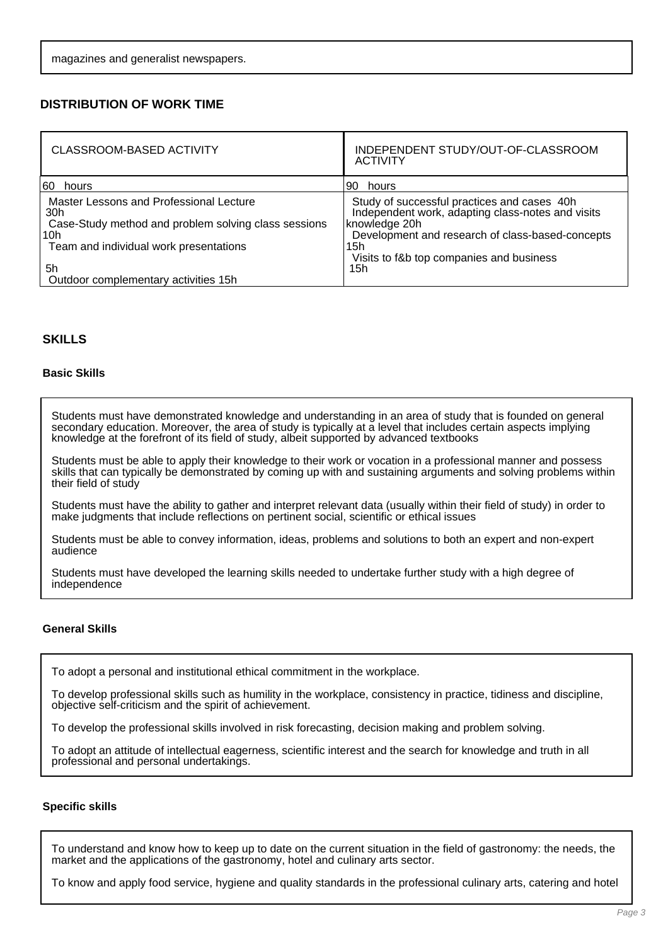## **DISTRIBUTION OF WORK TIME**

| <b>CLASSROOM-BASED ACTIVITY</b>                                                                                                                         | INDEPENDENT STUDY/OUT-OF-CLASSROOM<br><b>ACTIVITY</b>                                                                                                                                                                    |
|---------------------------------------------------------------------------------------------------------------------------------------------------------|--------------------------------------------------------------------------------------------------------------------------------------------------------------------------------------------------------------------------|
| 160<br>hours                                                                                                                                            | 90 hours                                                                                                                                                                                                                 |
| Master Lessons and Professional Lecture<br>30h<br>Case-Study method and problem solving class sessions<br>10h<br>Team and individual work presentations | Study of successful practices and cases 40h<br>Independent work, adapting class-notes and visits<br>knowledge 20h<br>Development and research of class-based-concepts<br>15h<br>Visits to f&b top companies and business |
| 5h<br>Outdoor complementary activities 15h                                                                                                              | 15h                                                                                                                                                                                                                      |

## **SKILLS**

#### **Basic Skills**

Students must have demonstrated knowledge and understanding in an area of study that is founded on general secondary education. Moreover, the area of study is typically at a level that includes certain aspects implying knowledge at the forefront of its field of study, albeit supported by advanced textbooks

Students must be able to apply their knowledge to their work or vocation in a professional manner and possess skills that can typically be demonstrated by coming up with and sustaining arguments and solving problems within their field of study

Students must have the ability to gather and interpret relevant data (usually within their field of study) in order to make judgments that include reflections on pertinent social, scientific or ethical issues

Students must be able to convey information, ideas, problems and solutions to both an expert and non-expert audience

Students must have developed the learning skills needed to undertake further study with a high degree of independence

### **General Skills**

To adopt a personal and institutional ethical commitment in the workplace.

To develop professional skills such as humility in the workplace, consistency in practice, tidiness and discipline, objective self-criticism and the spirit of achievement.

To develop the professional skills involved in risk forecasting, decision making and problem solving.

To adopt an attitude of intellectual eagerness, scientific interest and the search for knowledge and truth in all professional and personal undertakings.

### **Specific skills**

To understand and know how to keep up to date on the current situation in the field of gastronomy: the needs, the market and the applications of the gastronomy, hotel and culinary arts sector.

To know and apply food service, hygiene and quality standards in the professional culinary arts, catering and hotel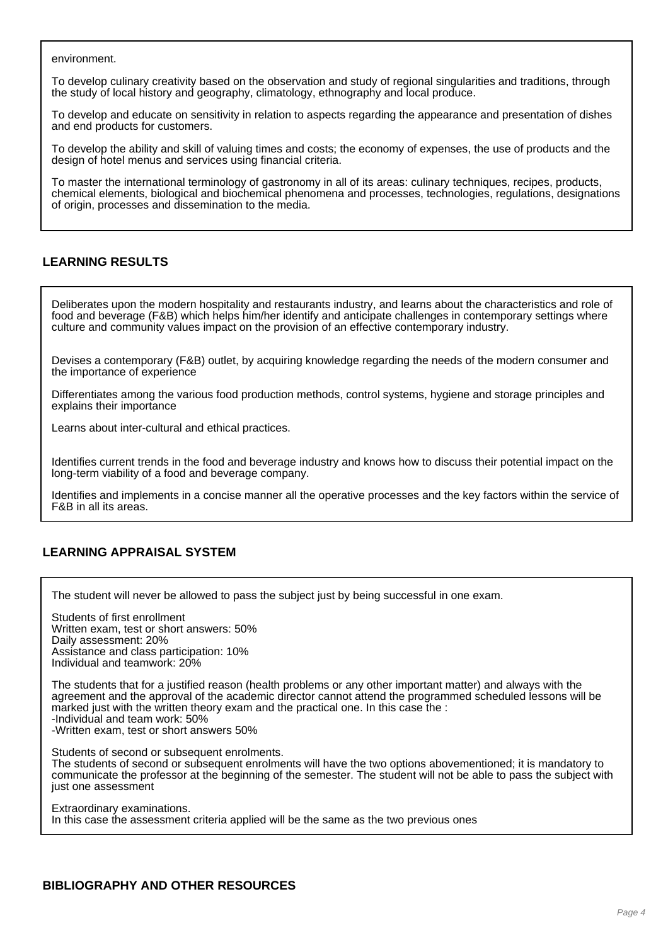environment.

To develop culinary creativity based on the observation and study of regional singularities and traditions, through the study of local history and geography, climatology, ethnography and local produce.

To develop and educate on sensitivity in relation to aspects regarding the appearance and presentation of dishes and end products for customers.

To develop the ability and skill of valuing times and costs; the economy of expenses, the use of products and the design of hotel menus and services using financial criteria.

To master the international terminology of gastronomy in all of its areas: culinary techniques, recipes, products, chemical elements, biological and biochemical phenomena and processes, technologies, regulations, designations of origin, processes and dissemination to the media.

## **LEARNING RESULTS**

Deliberates upon the modern hospitality and restaurants industry, and learns about the characteristics and role of food and beverage (F&B) which helps him/her identify and anticipate challenges in contemporary settings where culture and community values impact on the provision of an effective contemporary industry.

Devises a contemporary (F&B) outlet, by acquiring knowledge regarding the needs of the modern consumer and the importance of experience

Differentiates among the various food production methods, control systems, hygiene and storage principles and explains their importance

Learns about inter-cultural and ethical practices.

Identifies current trends in the food and beverage industry and knows how to discuss their potential impact on the long-term viability of a food and beverage company.

Identifies and implements in a concise manner all the operative processes and the key factors within the service of F&B in all its areas.

## **LEARNING APPRAISAL SYSTEM**

The student will never be allowed to pass the subject just by being successful in one exam.

Students of first enrollment Written exam, test or short answers: 50% Daily assessment: 20% Assistance and class participation: 10% Individual and teamwork: 20%

The students that for a justified reason (health problems or any other important matter) and always with the agreement and the approval of the academic director cannot attend the programmed scheduled lessons will be marked just with the written theory exam and the practical one. In this case the : -Individual and team work: 50% -Written exam, test or short answers 50%

Students of second or subsequent enrolments.

The students of second or subsequent enrolments will have the two options abovementioned; it is mandatory to communicate the professor at the beginning of the semester. The student will not be able to pass the subject with just one assessment

Extraordinary examinations. In this case the assessment criteria applied will be the same as the two previous ones